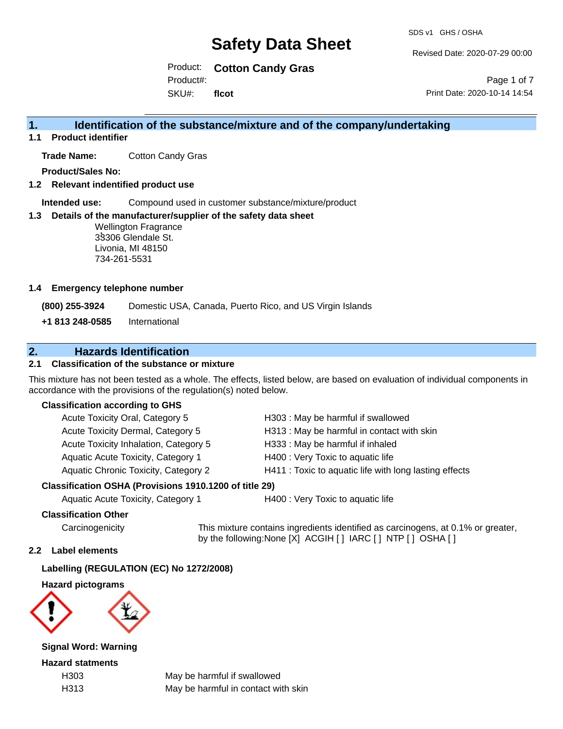Revised Date: 2020-07-29 00:00

Product: **Cotton Candy Gras** SKU#: Product#: **flcot**

Page 1 of 7 Print Date: 2020-10-14 14:54

## **1. Identification of the substance/mixture and of the company/undertaking**

**1.1 Product identifier**

**Trade Name:** Cotton Candy Gras

**Product/Sales No:**

**1.2 Relevant indentified product use**

**Intended use:** Compound used in customer substance/mixture/product

### **1.3 Details of the manufacturer/supplier of the safety data sheet**

**:** 33306 Glendale St. Wellington Fragrance Livonia, MI 48150 734-261-5531

#### **1.4 Emergency telephone number**

**(800) 255-3924** Domestic USA, Canada, Puerto Rico, and US Virgin Islands

**+1 813 248-0585** International

## **2. Hazards Identification**

### **2.1 Classification of the substance or mixture**

This mixture has not been tested as a whole. The effects, listed below, are based on evaluation of individual components in accordance with the provisions of the regulation(s) noted below.

### **Classification according to GHS**

| esification OSHA (Provisions 1910 1200 of title 29) |                                                        |
|-----------------------------------------------------|--------------------------------------------------------|
| Aquatic Chronic Toxicity, Category 2                | H411 : Toxic to aquatic life with long lasting effects |
| Aquatic Acute Toxicity, Category 1                  | H400 : Very Toxic to aquatic life                      |
| Acute Toxicity Inhalation, Category 5               | H333: May be harmful if inhaled                        |
| Acute Toxicity Dermal, Category 5                   | H313: May be harmful in contact with skin              |
| Acute Toxicity Oral, Category 5                     | H303: May be harmful if swallowed                      |

### **Classification OSHA (Provisions 1910.1200 of title 29)**

Aquatic Acute Toxicity, Category 1 H400 : Very Toxic to aquatic life

### **Classification Other**

Carcinogenicity This mixture contains ingredients identified as carcinogens, at 0.1% or greater, by the following:None [X] ACGIH [ ] IARC [ ] NTP [ ] OSHA [ ]

### **2.2 Label elements**

### **Labelling (REGULATION (EC) No 1272/2008)**

### **Hazard pictograms**



**Signal Word: Warning**

**Hazard statments**

H303 May be harmful if swallowed H313 May be harmful in contact with skin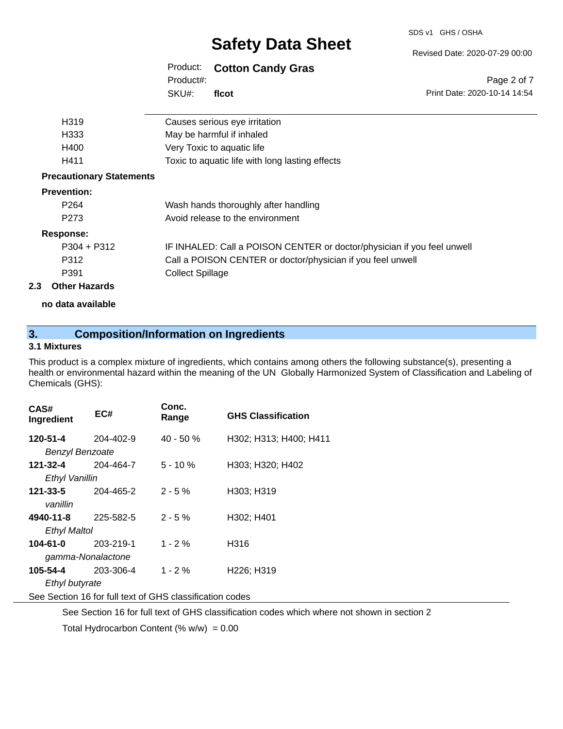SDS v1 GHS / OSHA

#### Revised Date: 2020-07-29 00:00

#### Product: **Cotton Candy Gras** SKU#: Product#: **flcot**

Page 2 of 7 Print Date: 2020-10-14 14:54

| H <sub>3</sub> 19               | Causes serious eye irritation                                           |
|---------------------------------|-------------------------------------------------------------------------|
| H <sub>333</sub>                | May be harmful if inhaled                                               |
| H400                            | Very Toxic to aquatic life                                              |
| H411                            | Toxic to aquatic life with long lasting effects                         |
| <b>Precautionary Statements</b> |                                                                         |
| <b>Prevention:</b>              |                                                                         |
| P <sub>264</sub>                | Wash hands thoroughly after handling                                    |
| P <sub>273</sub>                | Avoid release to the environment                                        |
| <b>Response:</b>                |                                                                         |
| $P304 + P312$                   | IF INHALED: Call a POISON CENTER or doctor/physician if you feel unwell |
| P312                            | Call a POISON CENTER or doctor/physician if you feel unwell             |
| P391                            | <b>Collect Spillage</b>                                                 |
| <b>Other Hazards</b>            |                                                                         |

### **no data available**

# **3. Composition/Information on Ingredients**

### **3.1 Mixtures**

**2.3 Other Hazards**

This product is a complex mixture of ingredients, which contains among others the following substance(s), presenting a health or environmental hazard within the meaning of the UN Globally Harmonized System of Classification and Labeling of Chemicals (GHS):

| CAS#<br>Ingredient                                       | EC#       | Conc.<br>Range | <b>GHS Classification</b> |  |  |
|----------------------------------------------------------|-----------|----------------|---------------------------|--|--|
| 120-51-4                                                 | 204-402-9 | $40 - 50%$     | H302; H313; H400; H411    |  |  |
| <b>Benzyl Benzoate</b>                                   |           |                |                           |  |  |
| 121-32-4                                                 | 204-464-7 | $5 - 10%$      | H303; H320; H402          |  |  |
| Ethyl Vanillin                                           |           |                |                           |  |  |
| 121-33-5                                                 | 204-465-2 | $2 - 5\%$      | H303; H319                |  |  |
| vanillin                                                 |           |                |                           |  |  |
| 4940-11-8                                                | 225-582-5 | $2 - 5%$       | H302; H401                |  |  |
| <b>Ethyl Maltol</b>                                      |           |                |                           |  |  |
| $104 - 61 - 0$                                           | 203-219-1 | $1 - 2%$       | H316                      |  |  |
| gamma-Nonalactone                                        |           |                |                           |  |  |
| 105-54-4                                                 | 203-306-4 | $1 - 2 \%$     | H226; H319                |  |  |
| Ethyl butyrate                                           |           |                |                           |  |  |
| See Section 16 for full text of GHS classification codes |           |                |                           |  |  |

See Section 16 for full text of GHS classification codes which where not shown in section 2

Total Hydrocarbon Content (%  $w/w$ ) = 0.00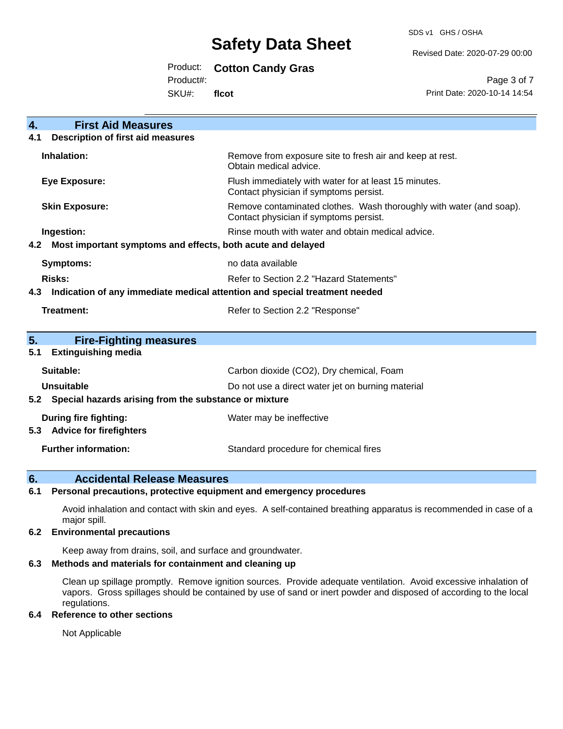SDS v1 GHS / OSHA

Revised Date: 2020-07-29 00:00

Product: **Cotton Candy Gras**

Product#:

SKU#: **flcot**

Page 3 of 7 Print Date: 2020-10-14 14:54

| $\overline{4}$ .<br><b>First Aid Measures</b>                                     |                                                                                                               |  |
|-----------------------------------------------------------------------------------|---------------------------------------------------------------------------------------------------------------|--|
| <b>Description of first aid measures</b><br>4.1                                   |                                                                                                               |  |
| Inhalation:                                                                       | Remove from exposure site to fresh air and keep at rest.<br>Obtain medical advice.                            |  |
| <b>Eye Exposure:</b>                                                              | Flush immediately with water for at least 15 minutes.<br>Contact physician if symptoms persist.               |  |
| <b>Skin Exposure:</b>                                                             | Remove contaminated clothes. Wash thoroughly with water (and soap).<br>Contact physician if symptoms persist. |  |
| Ingestion:                                                                        | Rinse mouth with water and obtain medical advice.                                                             |  |
| Most important symptoms and effects, both acute and delayed<br>4.2                |                                                                                                               |  |
| <b>Symptoms:</b>                                                                  | no data available                                                                                             |  |
| Risks:                                                                            | Refer to Section 2.2 "Hazard Statements"                                                                      |  |
| Indication of any immediate medical attention and special treatment needed<br>4.3 |                                                                                                               |  |
| <b>Treatment:</b>                                                                 | Refer to Section 2.2 "Response"                                                                               |  |
|                                                                                   |                                                                                                               |  |
| 5.<br><b>Fire-Fighting measures</b>                                               |                                                                                                               |  |
| <b>Extinguishing media</b><br>5.1                                                 |                                                                                                               |  |
| Suitable:                                                                         | Carbon dioxide (CO2), Dry chemical, Foam                                                                      |  |
| <b>Unsuitable</b>                                                                 | Do not use a direct water jet on burning material                                                             |  |
| 5.2 Special hazards arising from the substance or mixture                         |                                                                                                               |  |
| <b>During fire fighting:</b>                                                      | Water may be ineffective                                                                                      |  |
| <b>Advice for firefighters</b><br>5.3                                             |                                                                                                               |  |
| <b>Further information:</b>                                                       | Standard procedure for chemical fires                                                                         |  |

## **6. Accidental Release Measures**

### **6.1 Personal precautions, protective equipment and emergency procedures**

Avoid inhalation and contact with skin and eyes. A self-contained breathing apparatus is recommended in case of a major spill.

### **6.2 Environmental precautions**

Keep away from drains, soil, and surface and groundwater.

### **6.3 Methods and materials for containment and cleaning up**

Clean up spillage promptly. Remove ignition sources. Provide adequate ventilation. Avoid excessive inhalation of vapors. Gross spillages should be contained by use of sand or inert powder and disposed of according to the local regulations.

### **6.4 Reference to other sections**

Not Applicable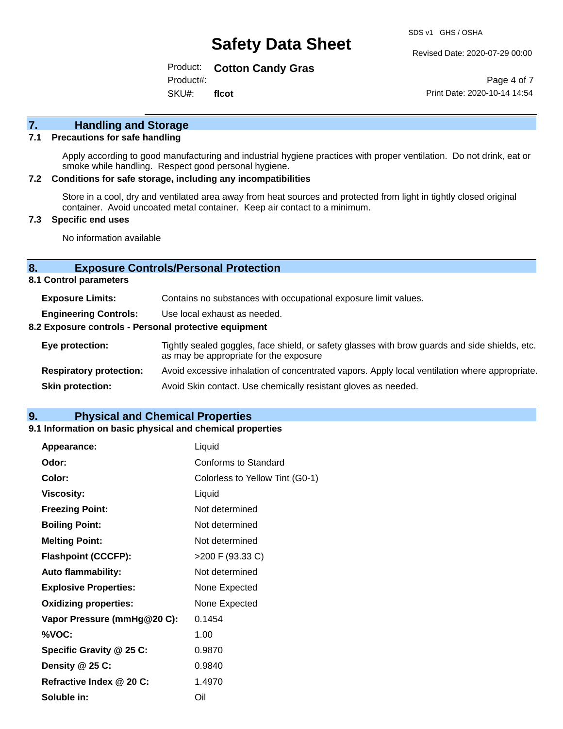Revised Date: 2020-07-29 00:00

Product: **Cotton Candy Gras** Product#:

SKU#: **flcot**

Page 4 of 7 Print Date: 2020-10-14 14:54

## **7. Handling and Storage**

### **7.1 Precautions for safe handling**

Apply according to good manufacturing and industrial hygiene practices with proper ventilation. Do not drink, eat or smoke while handling. Respect good personal hygiene.

#### **7.2 Conditions for safe storage, including any incompatibilities**

Store in a cool, dry and ventilated area away from heat sources and protected from light in tightly closed original container. Avoid uncoated metal container. Keep air contact to a minimum.

### **7.3 Specific end uses**

No information available

### **8. Exposure Controls/Personal Protection**

**8.1 Control parameters**

| <b>Exposure Limits:</b>                               | Contains no substances with occupational exposure limit values.                                                                          |  |  |
|-------------------------------------------------------|------------------------------------------------------------------------------------------------------------------------------------------|--|--|
| <b>Engineering Controls:</b>                          | Use local exhaust as needed.                                                                                                             |  |  |
| 8.2 Exposure controls - Personal protective equipment |                                                                                                                                          |  |  |
| Eye protection:                                       | Tightly sealed goggles, face shield, or safety glasses with brow guards and side shields, etc.<br>as may be appropriate for the exposure |  |  |
| <b>Respiratory protection:</b>                        | Avoid excessive inhalation of concentrated vapors. Apply local ventilation where appropriate.                                            |  |  |
| <b>Skin protection:</b>                               | Avoid Skin contact. Use chemically resistant gloves as needed.                                                                           |  |  |

### **9. Physical and Chemical Properties**

### **9.1 Information on basic physical and chemical properties**

| Appearance:                  | Liquid                          |
|------------------------------|---------------------------------|
| Odor:                        | Conforms to Standard            |
| Color:                       | Colorless to Yellow Tint (G0-1) |
| <b>Viscosity:</b>            | Liquid                          |
| <b>Freezing Point:</b>       | Not determined                  |
| <b>Boiling Point:</b>        | Not determined                  |
| <b>Melting Point:</b>        | Not determined                  |
| <b>Flashpoint (CCCFP):</b>   | >200 F (93.33 C)                |
| <b>Auto flammability:</b>    | Not determined                  |
| <b>Explosive Properties:</b> | None Expected                   |
| <b>Oxidizing properties:</b> | None Expected                   |
| Vapor Pressure (mmHg@20 C):  | 0.1454                          |
| %VOC:                        | 1.00                            |
| Specific Gravity @ 25 C:     | 0.9870                          |
| Density @ 25 C:              | 0.9840                          |
| Refractive Index @ 20 C:     | 1.4970                          |
| Soluble in:                  | Oil                             |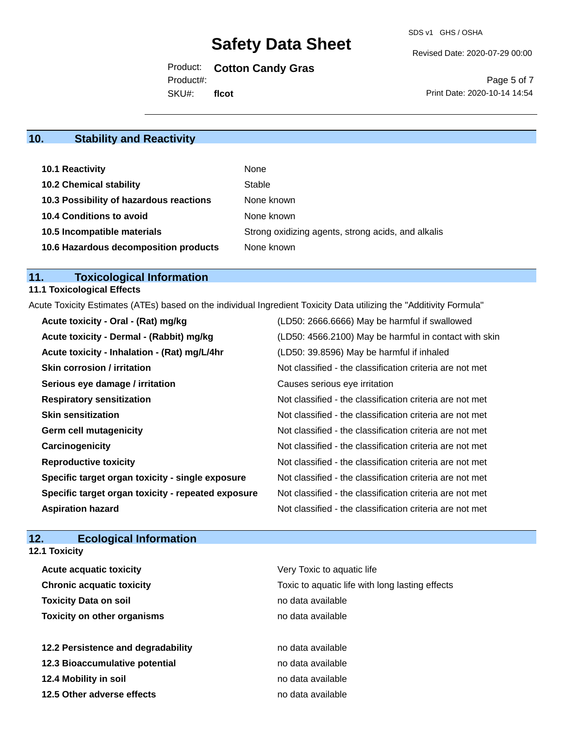Revised Date: 2020-07-29 00:00

Product: **Cotton Candy Gras**

Product#:

SKU#: **flcot**

Page 5 of 7 Print Date: 2020-10-14 14:54

# **10. Stability and Reactivity**

| 10.1 Reactivity                         | None                                               |
|-----------------------------------------|----------------------------------------------------|
| <b>10.2 Chemical stability</b>          | Stable                                             |
| 10.3 Possibility of hazardous reactions | None known                                         |
| <b>10.4 Conditions to avoid</b>         | None known                                         |
| 10.5 Incompatible materials             | Strong oxidizing agents, strong acids, and alkalis |
| 10.6 Hazardous decomposition products   | None known                                         |

# **11. Toxicological Information**

### **11.1 Toxicological Effects**

Acute Toxicity Estimates (ATEs) based on the individual Ingredient Toxicity Data utilizing the "Additivity Formula"

| Acute toxicity - Oral - (Rat) mg/kg                | (LD50: 2666.6666) May be harmful if swallowed            |
|----------------------------------------------------|----------------------------------------------------------|
| Acute toxicity - Dermal - (Rabbit) mg/kg           | (LD50: 4566.2100) May be harmful in contact with skin    |
| Acute toxicity - Inhalation - (Rat) mg/L/4hr       | (LD50: 39.8596) May be harmful if inhaled                |
| <b>Skin corrosion / irritation</b>                 | Not classified - the classification criteria are not met |
| Serious eye damage / irritation                    | Causes serious eye irritation                            |
| <b>Respiratory sensitization</b>                   | Not classified - the classification criteria are not met |
| <b>Skin sensitization</b>                          | Not classified - the classification criteria are not met |
| <b>Germ cell mutagenicity</b>                      | Not classified - the classification criteria are not met |
| Carcinogenicity                                    | Not classified - the classification criteria are not met |
| <b>Reproductive toxicity</b>                       | Not classified - the classification criteria are not met |
| Specific target organ toxicity - single exposure   | Not classified - the classification criteria are not met |
| Specific target organ toxicity - repeated exposure | Not classified - the classification criteria are not met |
| <b>Aspiration hazard</b>                           | Not classified - the classification criteria are not met |

## **12. Ecological Information**

| <b>12.1 Toxicity</b>               |                                                 |
|------------------------------------|-------------------------------------------------|
| <b>Acute acquatic toxicity</b>     | Very Toxic to aquatic life                      |
| <b>Chronic acquatic toxicity</b>   | Toxic to aquatic life with long lasting effects |
| <b>Toxicity Data on soil</b>       | no data available                               |
| <b>Toxicity on other organisms</b> | no data available                               |
| 12.2 Persistence and degradability | no data available                               |
| 12.3 Bioaccumulative potential     | no data available                               |
| 12.4 Mobility in soil              | no data available                               |
| 12.5 Other adverse effects         | no data available                               |
|                                    |                                                 |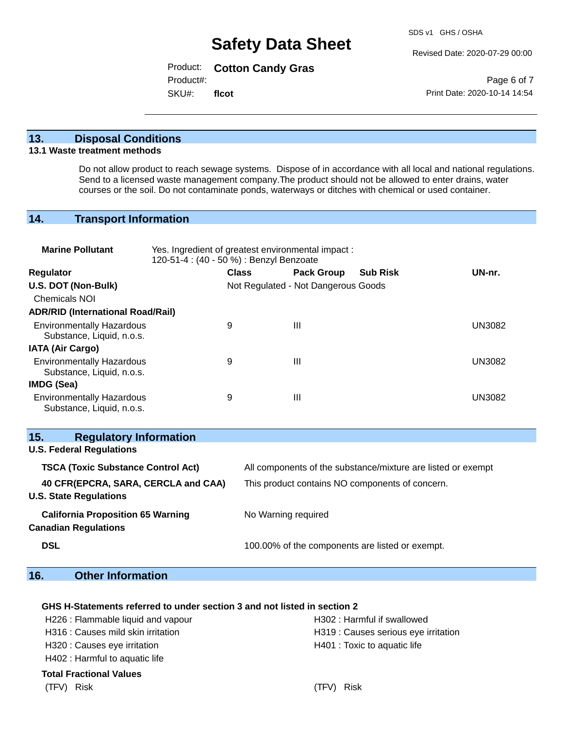Revised Date: 2020-07-29 00:00

Product: **Cotton Candy Gras**

Product#:

SKU#: **flcot**

Page 6 of 7 Print Date: 2020-10-14 14:54

### **13. Disposal Conditions**

### **13.1 Waste treatment methods**

Do not allow product to reach sewage systems. Dispose of in accordance with all local and national regulations. Send to a licensed waste management company.The product should not be allowed to enter drains, water courses or the soil. Do not contaminate ponds, waterways or ditches with chemical or used container.

### **14. Transport Information**

| <b>Marine Pollutant</b>                                                 | Yes. Ingredient of greatest environmental impact:<br>120-51-4 : (40 - 50 %) : Benzyl Benzoate |              |                     |                                     |                                                              |               |
|-------------------------------------------------------------------------|-----------------------------------------------------------------------------------------------|--------------|---------------------|-------------------------------------|--------------------------------------------------------------|---------------|
| Regulator                                                               |                                                                                               | <b>Class</b> |                     | <b>Pack Group</b>                   | <b>Sub Risk</b>                                              | UN-nr.        |
| U.S. DOT (Non-Bulk)                                                     |                                                                                               |              |                     | Not Regulated - Not Dangerous Goods |                                                              |               |
| <b>Chemicals NOI</b>                                                    |                                                                                               |              |                     |                                     |                                                              |               |
| <b>ADR/RID (International Road/Rail)</b>                                |                                                                                               |              |                     |                                     |                                                              |               |
| <b>Environmentally Hazardous</b><br>Substance, Liquid, n.o.s.           |                                                                                               | 9            |                     | Ш                                   |                                                              | <b>UN3082</b> |
| <b>IATA (Air Cargo)</b>                                                 |                                                                                               |              |                     |                                     |                                                              |               |
| <b>Environmentally Hazardous</b><br>Substance, Liquid, n.o.s.           |                                                                                               | 9            |                     | III                                 |                                                              | <b>UN3082</b> |
| IMDG (Sea)                                                              |                                                                                               |              |                     |                                     |                                                              |               |
| <b>Environmentally Hazardous</b><br>Substance, Liquid, n.o.s.           |                                                                                               | 9            |                     | $\mathbf{III}$                      |                                                              | <b>UN3082</b> |
| 15.<br><b>Regulatory Information</b><br><b>U.S. Federal Regulations</b> |                                                                                               |              |                     |                                     |                                                              |               |
| <b>TSCA (Toxic Substance Control Act)</b>                               |                                                                                               |              |                     |                                     | All components of the substance/mixture are listed or exempt |               |
| 40 CFR(EPCRA, SARA, CERCLA and CAA)<br><b>U.S. State Regulations</b>    |                                                                                               |              |                     |                                     | This product contains NO components of concern.              |               |
| <b>California Proposition 65 Warning</b><br><b>Canadian Regulations</b> |                                                                                               |              | No Warning required |                                     |                                                              |               |
| <b>DSL</b>                                                              |                                                                                               |              |                     |                                     | 100.00% of the components are listed or exempt.              |               |

## **16. Other Information**

### **GHS H-Statements referred to under section 3 and not listed in section 2**

| H226 : Flammable liquid and vapour | H302: Harmful if swallowed           |
|------------------------------------|--------------------------------------|
| H316 : Causes mild skin irritation | H319 : Causes serious eye irritation |
| H320 : Causes eye irritation       | H401 : Toxic to aquatic life         |
| H402 : Harmful to aquatic life     |                                      |
| Total Fractional Values            |                                      |
| (TFV) Risk                         | (TFV) Risk                           |